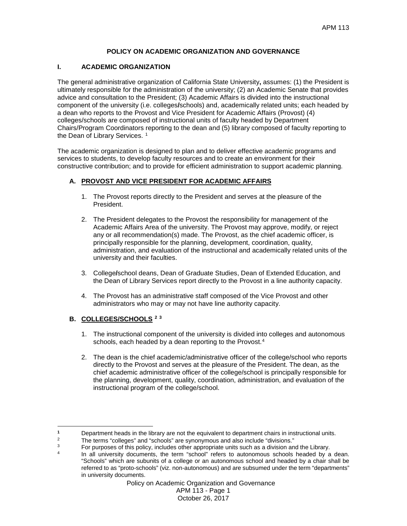# **POLICY ON ACADEMIC ORGANIZATION AND GOVERNANCE**

# **I. ACADEMIC ORGANIZATION**

The general administrative organization of California State University**,** assumes: (1) the President is ultimately responsible for the administration of the university; (2) an Academic Senate that provides advice and consultation to the President; (3) Academic Affairs is divided into the instructional component of the university (i.e. colleges**/**schools) and, academically related units; each headed by a dean who reports to the Provost and Vice President for Academic Affairs (Provost) (4) colleges/schools are composed of instructional units of faculty headed by Department Chairs/Program Coordinators reporting to the dean and (5) library composed of faculty reporting to the Dean of Library Services.<sup>[1](#page-0-0)</sup>

The academic organization is designed to plan and to deliver effective academic programs and services to students, to develop faculty resources and to create an environment for their constructive contribution; and to provide for efficient administration to support academic planning.

## **A. PROVOST AND VICE PRESIDENT FOR ACADEMIC AFFAIRS**

- 1. The Provost reports directly to the President and serves at the pleasure of the President.
- 2. The President delegates to the Provost the responsibility for management of the Academic Affairs Area of the university. The Provost may approve, modify, or reject any or all recommendation(s) made. The Provost, as the chief academic officer, is principally responsible for the planning, development, coordination, quality, administration, and evaluation of the instructional and academically related units of the university and their faculties.
- 3. College**/**school deans, Dean of Graduate Studies, Dean of Extended Education, and the Dean of Library Services report directly to the Provost in a line authority capacity.
- 4. The Provost has an administrative staff composed of the Vice Provost and other administrators who may or may not have line authority capacity.

#### **B. COLLEGES/SCHOOLS [2](#page-0-1) [3](#page-0-2)**

- 1. The instructional component of the university is divided into colleges and autonomous schools, each headed by a dean reporting to the Provost.<sup>[4](#page-0-3)</sup>
- 2. The dean is the chief academic/administrative officer of the college/school who reports directly to the Provost and serves at the pleasure of the President. The dean, as the chief academic administrative officer of the college/school is principally responsible for the planning, development, quality, coordination, administration, and evaluation of the instructional program of the college/school.

In all university documents, the term "school" refers to autonomous schools headed by a dean. "Schools" which are subunits of a college or an autonomous school and headed by a chair shall be referred to as "proto-schools" (viz. non-autonomous) and are subsumed under the term "departments" in university documents.

Policy on Academic Organization and Governance

### APM 113 - Page 1 October 26, 2017

<span id="page-0-0"></span> $\overline{a}$ **1** Department heads in the library are not the equivalent to department chairs in instructional units.<br><sup>2</sup> The terms "colleges" and "cobeole" are evenymous and else include "divisions"

<span id="page-0-2"></span><span id="page-0-1"></span><sup>&</sup>lt;sup>2</sup> The terms "colleges" and "schools" are synonymous and also include "divisions."<br><sup>3</sup> Equipments of this policy, includes other appropriate units such as a division an

<span id="page-0-3"></span> $3$  For purposes of this policy, includes other appropriate units such as a division and the Library.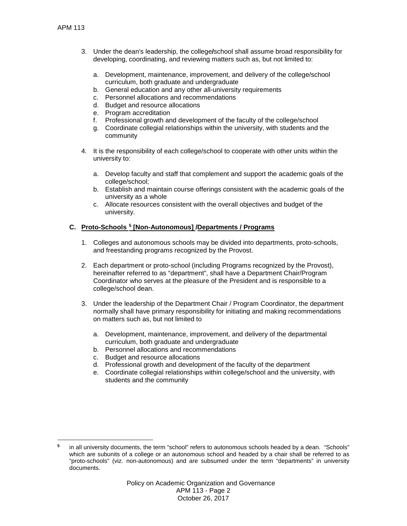$\overline{a}$ 

- 3. Under the dean's leadership, the college**/**school shall assume broad responsibility for developing, coordinating, and reviewing matters such as, but not limited to:
	- a. Development, maintenance, improvement, and delivery of the college/school curriculum, both graduate and undergraduate
	- b. General education and any other all-university requirements
	- c. Personnel allocations and recommendations
	- d. Budget and resource allocations
	- e. Program accreditation
	- f. Professional growth and development of the faculty of the college/school
	- g. Coordinate collegial relationships within the university, with students and the community
- 4. It is the responsibility of each college/school to cooperate with other units within the university to:
	- a. Develop faculty and staff that complement and support the academic goals of the college/school;
	- b. Establish and maintain course offerings consistent with the academic goals of the university as a whole
	- c. Allocate resources consistent with the overall objectives and budget of the university.

# **C. Proto-Schools [5](#page-1-0) [Non-Autonomous] /Departments / Programs**

- 1. Colleges and autonomous schools may be divided into departments, proto-schools, and freestanding programs recognized by the Provost.
- 2. Each department or proto-school (including Programs recognized by the Provost), hereinafter referred to as "department", shall have a Department Chair/Program Coordinator who serves at the pleasure of the President and is responsible to a college/school dean.
- 3. Under the leadership of the Department Chair / Program Coordinator, the department normally shall have primary responsibility for initiating and making recommendations on matters such as, but not limited to
	- a. Development, maintenance, improvement, and delivery of the departmental curriculum, both graduate and undergraduate
	- b. Personnel allocations and recommendations
	- c. Budget and resource allocations
	- d. Professional growth and development of the faculty of the department
	- e. Coordinate collegial relationships within college/school and the university, with students and the community

<span id="page-1-0"></span><sup>&</sup>lt;sup>5</sup> in all university documents, the term "school" refers to autonomous schools headed by a dean. "Schools" which are subunits of a college or an autonomous school and headed by a chair shall be referred to as "proto-schools" (viz. non-autonomous) and are subsumed under the term "departments" in university documents.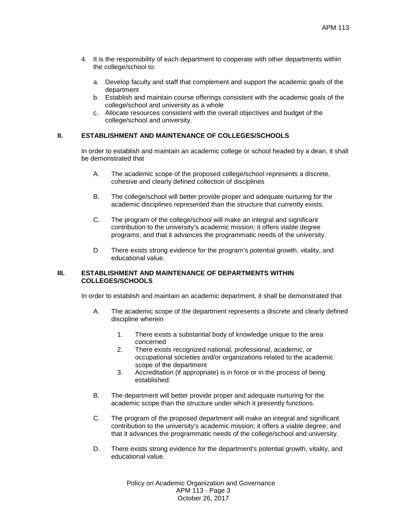- 4. It is the responsibility of each department to cooperate with other departments within the college/school to:
	- a. Develop faculty and staff that complement and support the academic goals of the department
	- b. Establish and maintain course offerings consistent with the academic goals of the college/school and university as a whole
	- c. Allocate resources consistent with the overall objectives and budget of the college/school and university.

## **II. ESTABLISHMENT AND MAINTENANCE OF COLLEGES/SCHOOLS**

In order to establish and maintain an academic college or school headed by a dean, it shall be demonstrated that

- A. The academic scope of the proposed college/school represents a discrete, cohesive and clearly defined collection of disciplines
- B. The college/school will better provide proper and adequate nurturing for the academic disciplines represented than the structure that currently exists.
- C. The program of the college/school will make an integral and significant contribution to the university's academic mission; it offers viable degree programs; and that it advances the programmatic needs of the university.
- D. There exists strong evidence for the program's potential growth, vitality, and educational value.

#### **III. ESTABLISHMENT AND MAINTENANCE OF DEPARTMENTS WITHIN COLLEGES/SCHOOLS**

In order to establish and maintain an academic department, it shall be demonstrated that

- A. The academic scope of the department represents a discrete and clearly defined discipline wherein
	- 1. There exists a substantial body of knowledge unique to the area concerned
	- 2. There exists recognized national, professional, academic, or occupational societies and/or organizations related to the academic scope of the department
	- 3. Accreditation (if appropriate) is in force or in the process of being established.
- B. The department will better provide proper and adequate nurturing for the academic scope than the structure under which it presently functions.
- C. The program of the proposed department will make an integral and significant contribution to the university's academic mission; it offers a viable degree; and that it advances the programmatic needs of the college/school and university.
- D. There exists strong evidence for the department's potential growth, vitality, and educational value.

Policy on Academic Organization and Governance APM 113 - Page 3 October 26, 2017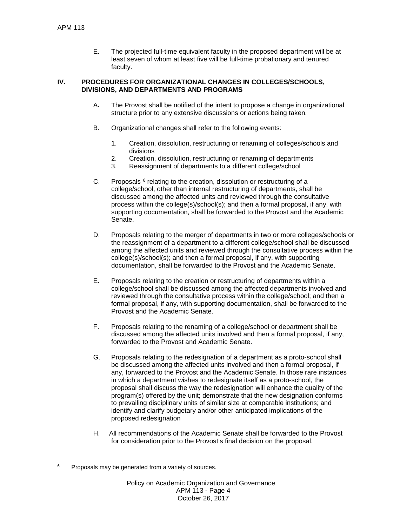E. The projected full-time equivalent faculty in the proposed department will be at least seven of whom at least five will be full-time probationary and tenured faculty.

## **IV. PROCEDURES FOR ORGANIZATIONAL CHANGES IN COLLEGES/SCHOOLS, DIVISIONS, AND DEPARTMENTS AND PROGRAMS**

- A**.** The Provost shall be notified of the intent to propose a change in organizational structure prior to any extensive discussions or actions being taken.
- B. Organizational changes shall refer to the following events:
	- 1. Creation, dissolution, restructuring or renaming of colleges/schools and divisions
	- 2. Creation, dissolution, restructuring or renaming of departments
	- 3. Reassignment of departments to a different college/school
- C. Proposals <sup>[6](#page-3-0)</sup> relating to the creation, dissolution or restructuring of a college/school, other than internal restructuring of departments, shall be discussed among the affected units and reviewed through the consultative process within the college(s)/school(s); and then a formal proposal, if any, with supporting documentation, shall be forwarded to the Provost and the Academic Senate.
- D. Proposals relating to the merger of departments in two or more colleges/schools or the reassignment of a department to a different college/school shall be discussed among the affected units and reviewed through the consultative process within the college(s)/school(s); and then a formal proposal, if any, with supporting documentation, shall be forwarded to the Provost and the Academic Senate.
- E. Proposals relating to the creation or restructuring of departments within a college/school shall be discussed among the affected departments involved and reviewed through the consultative process within the college/school; and then a formal proposal, if any, with supporting documentation, shall be forwarded to the Provost and the Academic Senate.
- F. Proposals relating to the renaming of a college/school or department shall be discussed among the affected units involved and then a formal proposal, if any, forwarded to the Provost and Academic Senate.
- G. Proposals relating to the redesignation of a department as a proto-school shall be discussed among the affected units involved and then a formal proposal, if any, forwarded to the Provost and the Academic Senate. In those rare instances in which a department wishes to redesignate itself as a proto-school, the proposal shall discuss the way the redesignation will enhance the quality of the program(s) offered by the unit; demonstrate that the new designation conforms to prevailing disciplinary units of similar size at comparable institutions; and identify and clarify budgetary and/or other anticipated implications of the proposed redesignation
- H. All recommendations of the Academic Senate shall be forwarded to the Provost for consideration prior to the Provost's final decision on the proposal.

<span id="page-3-0"></span> $\overline{a}$ <sup>6</sup> Proposals may be generated from a variety of sources.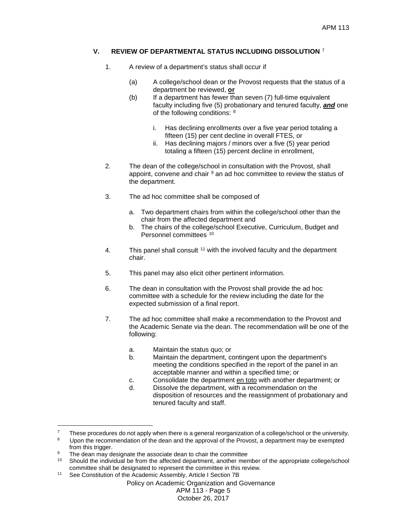# **V. REVIEW OF DEPARTMENTAL STATUS INCLUDING DISSOLUTION** [7](#page-4-0)

- 1. A review of a department's status shall occur if
	- (a) A college/school dean or the Provost requests that the status of a department be reviewed, **or**
	- (b) If a department has fewer than seven (7) full-time equivalent faculty including five (5) probationary and tenured faculty, *and* one of the following conditions: [8](#page-4-1)
		- i. Has declining enrollments over a five year period totaling a fifteen (15) per cent decline in overall FTES, or
		- ii. Has declining majors / minors over a five (5) year period totaling a fifteen (15) percent decline in enrollment,
- 2. The dean of the college/school in consultation with the Provost, shall appoint, convene and chair  $9$  an ad hoc committee to review the status of the department.
- 3. The ad hoc committee shall be composed of
	- a. Two department chairs from within the college/school other than the chair from the affected department and
	- b. The chairs of the college/school Executive, Curriculum, Budget and Personnel committees<sup>[10](#page-4-3)</sup>
- 4. This panel shall consult [11](#page-4-4) with the involved faculty and the department chair.
- 5. This panel may also elicit other pertinent information.
- 6. The dean in consultation with the Provost shall provide the ad hoc committee with a schedule for the review including the date for the expected submission of a final report.
- 7. The ad hoc committee shall make a recommendation to the Provost and the Academic Senate via the dean. The recommendation will be one of the following:
	- a. Maintain the status quo; or
	- b. Maintain the department, contingent upon the department's meeting the conditions specified in the report of the panel in an acceptable manner and within a specified time; or
	- c. Consolidate the department en toto with another department; or
	- d. Dissolve the department, with a recommendation on the disposition of resources and the reassignment of probationary and tenured faculty and staff.

 $\overline{a}$ 

<span id="page-4-4"></span>11 See Constitution of the Academic Assembly, Article I Section 7B

Policy on Academic Organization and Governance

### APM 113 - Page 5 October 26, 2017

<span id="page-4-1"></span><span id="page-4-0"></span><sup>&</sup>lt;sup>7</sup> These procedures do not apply when there is a general reorganization of a college/school or the university.

Upon the recommendation of the dean and the approval of the Provost, a department may be exempted from this trigger.

<span id="page-4-2"></span><sup>&</sup>lt;sup>9</sup> The dean may designate the associate dean to chair the committee  $\frac{10}{2}$ . Should the individual be from the offerted department, eacther magnetic

<span id="page-4-3"></span>Should the individual be from the affected department, another member of the appropriate college/school committee shall be designated to represent the committee in this review.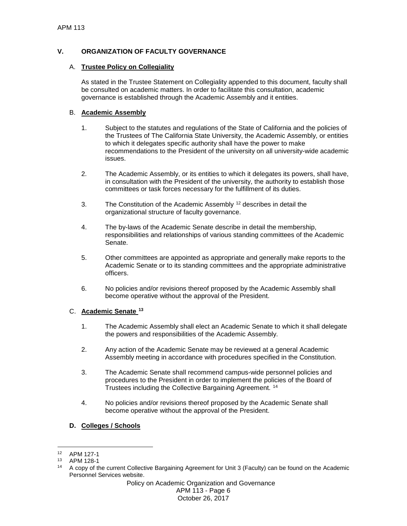# **V. ORGANIZATION OF FACULTY GOVERNANCE**

## A. **Trustee Policy on Collegiality**

As stated in the Trustee Statement on Collegiality appended to this document, faculty shall be consulted on academic matters. In order to facilitate this consultation, academic governance is established through the Academic Assembly and it entities.

# B. **Academic Assembly**

- 1. Subject to the statutes and regulations of the State of California and the policies of the Trustees of The California State University, the Academic Assembly, or entities to which it delegates specific authority shall have the power to make recommendations to the President of the university on all university-wide academic issues.
- 2. The Academic Assembly, or its entities to which it delegates its powers, shall have, in consultation with the President of the university, the authority to establish those committees or task forces necessary for the fulfillment of its duties.
- 3. The Constitution of the Academic Assembly [12](#page-5-0) describes in detail the organizational structure of faculty governance.
- 4. The by-laws of the Academic Senate describe in detail the membership, responsibilities and relationships of various standing committees of the Academic Senate.
- 5. Other committees are appointed as appropriate and generally make reports to the Academic Senate or to its standing committees and the appropriate administrative officers.
- 6. No policies and/or revisions thereof proposed by the Academic Assembly shall become operative without the approval of the President.

# C. **Academic Senate [13](#page-5-1)**

- 1. The Academic Assembly shall elect an Academic Senate to which it shall delegate the powers and responsibilities of the Academic Assembly.
- 2. Any action of the Academic Senate may be reviewed at a general Academic Assembly meeting in accordance with procedures specified in the Constitution.
- 3. The Academic Senate shall recommend campus-wide personnel policies and procedures to the President in order to implement the policies of the Board of Trustees including the Collective Bargaining Agreement. [14](#page-5-2)
- 4. No policies and/or revisions thereof proposed by the Academic Senate shall become operative without the approval of the President.

# **D. Colleges / Schools**

Policy on Academic Organization and Governance APM 113 - Page 6

October 26, 2017

<span id="page-5-0"></span> $\overline{a}$  $12$  APM 127-1

<span id="page-5-2"></span><span id="page-5-1"></span> $13$  APM 128-1

<sup>14</sup> A copy of the current Collective Bargaining Agreement for Unit 3 (Faculty) can be found on the Academic Personnel Services website.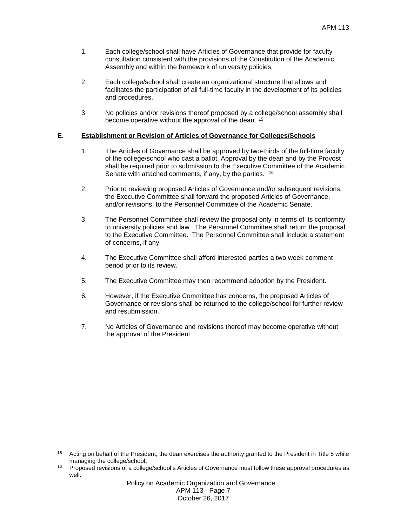- 1. Each college/school shall have Articles of Governance that provide for faculty consultation consistent with the provisions of the Constitution of the Academic Assembly and within the framework of university policies.
- 2. Each college/school shall create an organizational structure that allows and facilitates the participation of all full-time faculty in the development of its policies and procedures.
- 3. No policies and/or revisions thereof proposed by a college/school assembly shall become operative without the approval of the dean. <sup>[15](#page-6-0)</sup>

# **E. Establishment or Revision of Articles of Governance for Colleges/Schools**

- 1. The Articles of Governance shall be approved by two-thirds of the full-time faculty of the college/school who cast a ballot. Approval by the dean and by the Provost shall be required prior to submission to the Executive Committee of the Academic Senate with attached comments, if any, by the parties. <sup>[16](#page-6-1)</sup>
- 2. Prior to reviewing proposed Articles of Governance and/or subsequent revisions, the Executive Committee shall forward the proposed Articles of Governance, and/or revisions, to the Personnel Committee of the Academic Senate.
- 3. The Personnel Committee shall review the proposal only in terms of its conformity to university policies and law. The Personnel Committee shall return the proposal to the Executive Committee. The Personnel Committee shall include a statement of concerns, if any.
- 4. The Executive Committee shall afford interested parties a two week comment period prior to its review.
- 5. The Executive Committee may then recommend adoption by the President.
- 6. However, if the Executive Committee has concerns, the proposed Articles of Governance or revisions shall be returned to the college/school for further review and resubmission.
- 7. No Articles of Governance and revisions thereof may become operative without the approval of the President.

<span id="page-6-0"></span> $\overline{a}$ **<sup>15</sup>** Acting on behalf of the President, the dean exercises the authority granted to the President in Title 5 while managing the college/school**.**

<span id="page-6-1"></span><sup>&</sup>lt;sup>16</sup> Proposed revisions of a college/school's Articles of Governance must follow these approval procedures as well.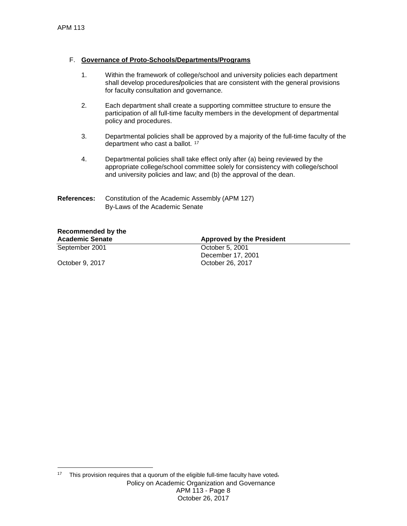## F. **Governance of Proto-Schools/Departments/Programs**

| <b>Recommended by the</b><br>Academic Senate<br><b>Annroved by the President</b> |                                                                                                                                                                                                                                       |
|----------------------------------------------------------------------------------|---------------------------------------------------------------------------------------------------------------------------------------------------------------------------------------------------------------------------------------|
| References:                                                                      | Constitution of the Academic Assembly (APM 127)<br>By-Laws of the Academic Senate                                                                                                                                                     |
| 4.                                                                               | Departmental policies shall take effect only after (a) being reviewed by the<br>appropriate college/school committee solely for consistency with college/school<br>and university policies and law; and (b) the approval of the dean. |
| 3.                                                                               | Departmental policies shall be approved by a majority of the full-time faculty of the<br>department who cast a ballot. 17                                                                                                             |
| 2.                                                                               | Each department shall create a supporting committee structure to ensure the<br>participation of all full-time faculty members in the development of departmental<br>policy and procedures.                                            |
| 1.                                                                               | Within the framework of college/school and university policies each department<br>shall develop procedures/policies that are consistent with the general provisions<br>for faculty consultation and governance.                       |

**Recommended Academic Senate Approved by the President**  September 2001 **October 5, 2001** December 17, 2001 October 9, 2017 October 26, 2017

<span id="page-7-0"></span>Policy on Academic Organization and Governance APM 113 - Page 8 October 26, 2017  $17$ This provision requires that a quorum of the eligible full-time faculty have voted-